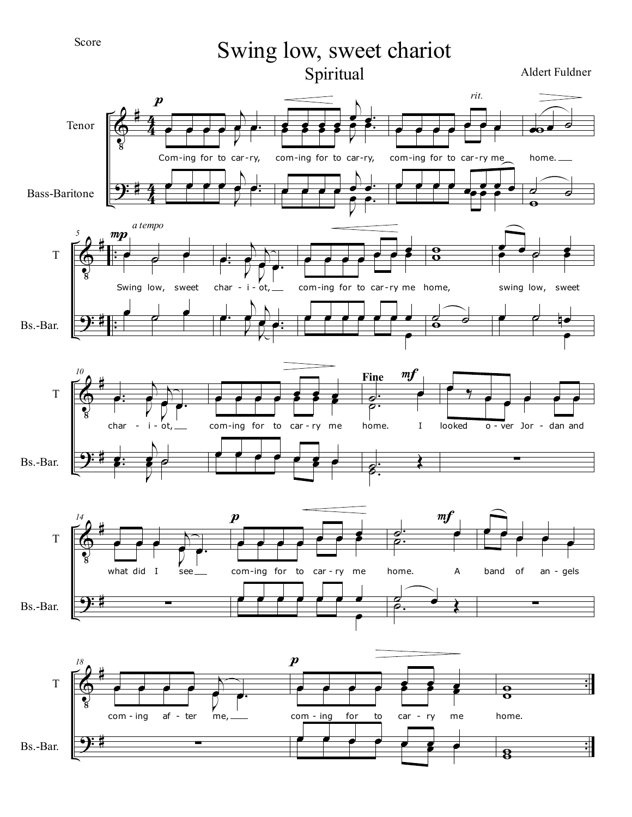Score

Swing low, sweet chariot Spiritual Aldert Fuldner